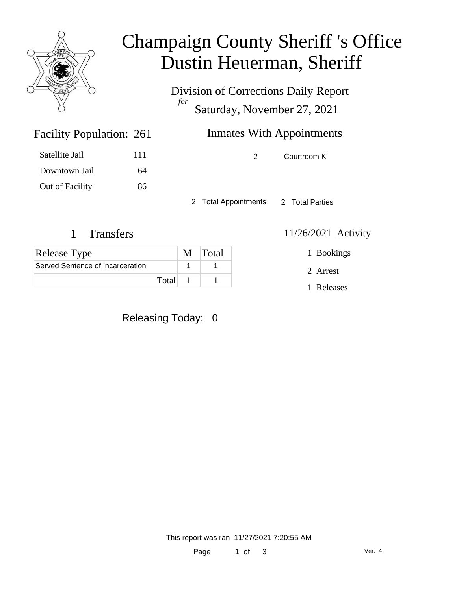

## Champaign County Sheriff 's Office Dustin Heuerman, Sheriff

Division of Corrections Daily Report *for* Saturday, November 27, 2021

### Inmates With Appointments

2 Courtroom K

2 Total Appointments 2 Total Parties

#### 1 Transfers 11/26/2021 Activity

1 Bookings

2 Arrest

1 Releases

Facility Population: 261

Satellite Jail 111 Downtown Jail 64 Out of Facility 86

| <b>Release Type</b>              |       | M Total |
|----------------------------------|-------|---------|
| Served Sentence of Incarceration |       |         |
|                                  | Total |         |

Releasing Today: 0

This report was ran 11/27/2021 7:20:55 AM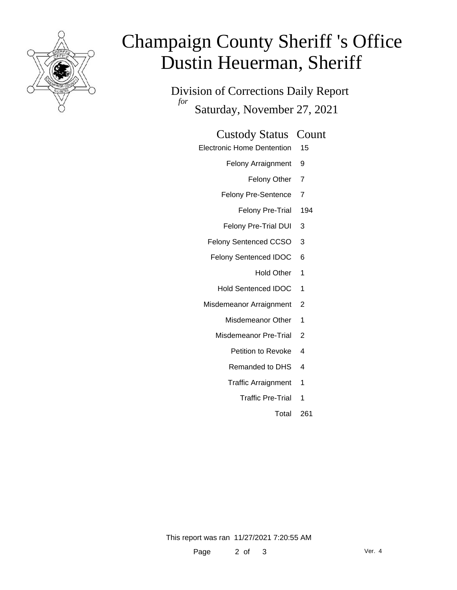

# Champaign County Sheriff 's Office Dustin Heuerman, Sheriff

Division of Corrections Daily Report *for* Saturday, November 27, 2021

#### Custody Status Count

- Electronic Home Dentention 15
	- Felony Arraignment 9
		- Felony Other 7
	- Felony Pre-Sentence 7
		- Felony Pre-Trial 194
	- Felony Pre-Trial DUI 3
	- Felony Sentenced CCSO 3
	- Felony Sentenced IDOC 6
		- Hold Other 1
		- Hold Sentenced IDOC 1
	- Misdemeanor Arraignment 2
		- Misdemeanor Other 1
		- Misdemeanor Pre-Trial 2
			- Petition to Revoke 4
			- Remanded to DHS 4
			- Traffic Arraignment 1
				- Traffic Pre-Trial 1
					- Total 261